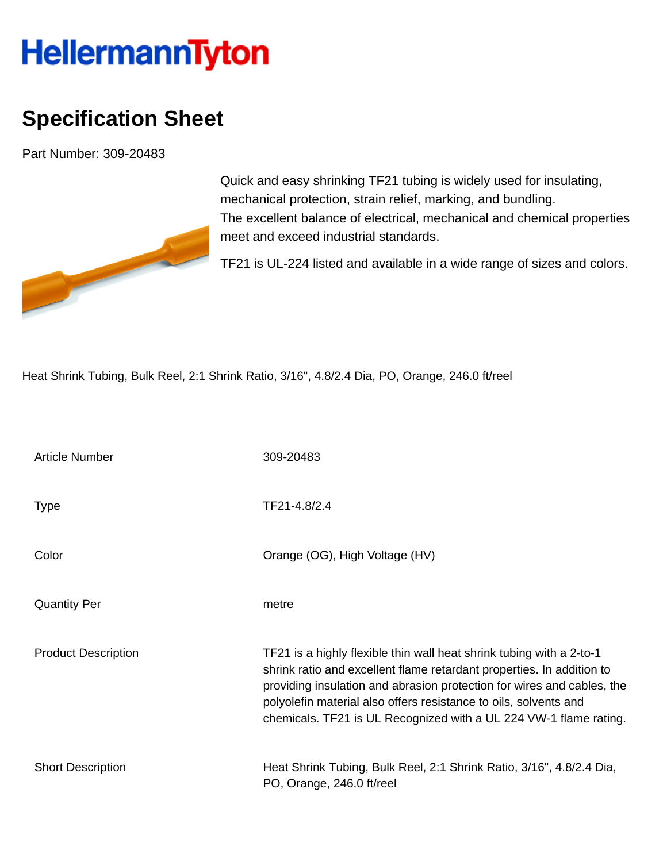## **HellermannTyton**

## **Specification Sheet**

Part Number: 309-20483



Quick and easy shrinking TF21 tubing is widely used for insulating, mechanical protection, strain relief, marking, and bundling. The excellent balance of electrical, mechanical and chemical properties meet and exceed industrial standards.

TF21 is UL-224 listed and available in a wide range of sizes and colors.

Heat Shrink Tubing, Bulk Reel, 2:1 Shrink Ratio, 3/16", 4.8/2.4 Dia, PO, Orange, 246.0 ft/reel

| <b>Article Number</b>      | 309-20483                                                                                                                                                                                                                                                                                                                                                        |
|----------------------------|------------------------------------------------------------------------------------------------------------------------------------------------------------------------------------------------------------------------------------------------------------------------------------------------------------------------------------------------------------------|
| <b>Type</b>                | TF21-4.8/2.4                                                                                                                                                                                                                                                                                                                                                     |
| Color                      | Orange (OG), High Voltage (HV)                                                                                                                                                                                                                                                                                                                                   |
| <b>Quantity Per</b>        | metre                                                                                                                                                                                                                                                                                                                                                            |
| <b>Product Description</b> | TF21 is a highly flexible thin wall heat shrink tubing with a 2-to-1<br>shrink ratio and excellent flame retardant properties. In addition to<br>providing insulation and abrasion protection for wires and cables, the<br>polyolefin material also offers resistance to oils, solvents and<br>chemicals. TF21 is UL Recognized with a UL 224 VW-1 flame rating. |
| <b>Short Description</b>   | Heat Shrink Tubing, Bulk Reel, 2:1 Shrink Ratio, 3/16", 4.8/2.4 Dia,<br>PO, Orange, 246.0 ft/reel                                                                                                                                                                                                                                                                |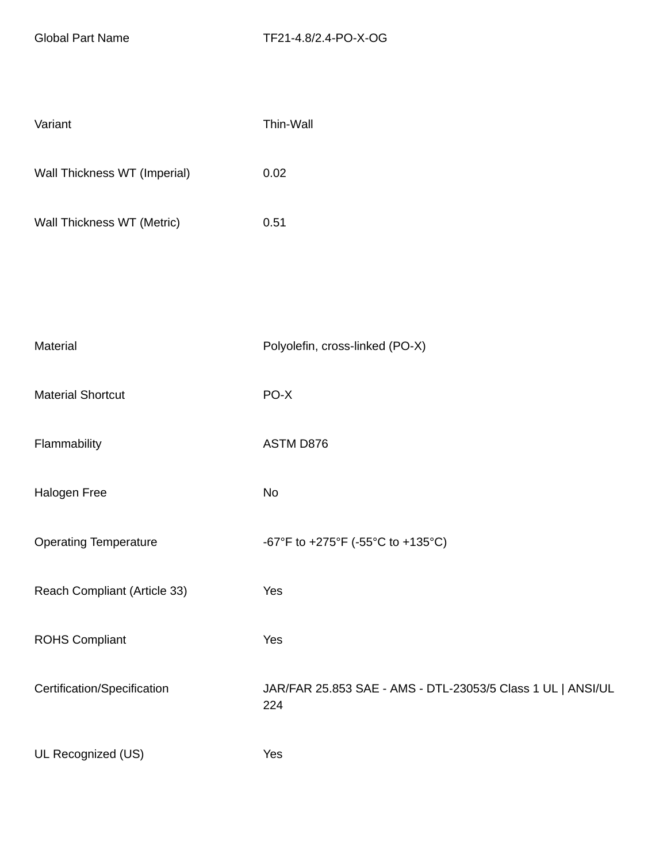| Variant                      | Thin-Wall                                                          |
|------------------------------|--------------------------------------------------------------------|
| Wall Thickness WT (Imperial) | 0.02                                                               |
| Wall Thickness WT (Metric)   | 0.51                                                               |
|                              |                                                                    |
|                              |                                                                    |
| Material                     | Polyolefin, cross-linked (PO-X)                                    |
| <b>Material Shortcut</b>     | PO-X                                                               |
| Flammability                 | ASTM D876                                                          |
| Halogen Free                 | No                                                                 |
| <b>Operating Temperature</b> | -67°F to +275°F (-55°C to +135°C)                                  |
| Reach Compliant (Article 33) | Yes                                                                |
| <b>ROHS Compliant</b>        | Yes                                                                |
| Certification/Specification  | JAR/FAR 25.853 SAE - AMS - DTL-23053/5 Class 1 UL   ANSI/UL<br>224 |
| UL Recognized (US)           | Yes                                                                |